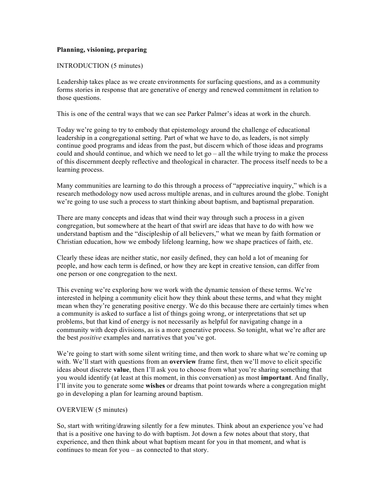# **Planning, visioning, preparing**

#### INTRODUCTION (5 minutes)

Leadership takes place as we create environments for surfacing questions, and as a community forms stories in response that are generative of energy and renewed commitment in relation to those questions.

This is one of the central ways that we can see Parker Palmer's ideas at work in the church.

Today we're going to try to embody that epistemology around the challenge of educational leadership in a congregational setting. Part of what we have to do, as leaders, is not simply continue good programs and ideas from the past, but discern which of those ideas and programs could and should continue, and which we need to let  $\alpha$  – all the while trying to make the process of this discernment deeply reflective and theological in character. The process itself needs to be a learning process.

Many communities are learning to do this through a process of "appreciative inquiry," which is a research methodology now used across multiple arenas, and in cultures around the globe. Tonight we're going to use such a process to start thinking about baptism, and baptismal preparation.

There are many concepts and ideas that wind their way through such a process in a given congregation, but somewhere at the heart of that swirl are ideas that have to do with how we understand baptism and the "discipleship of all believers," what we mean by faith formation or Christian education, how we embody lifelong learning, how we shape practices of faith, etc.

Clearly these ideas are neither static, nor easily defined, they can hold a lot of meaning for people, and how each term is defined, or how they are kept in creative tension, can differ from one person or one congregation to the next.

This evening we're exploring how we work with the dynamic tension of these terms. We're interested in helping a community elicit how they think about these terms, and what they might mean when they're generating positive energy. We do this because there are certainly times when a community is asked to surface a list of things going wrong, or interpretations that set up problems, but that kind of energy is not necessarily as helpful for navigating change in a community with deep divisions, as is a more generative process. So tonight, what we're after are the best *positive* examples and narratives that you've got.

We're going to start with some silent writing time, and then work to share what we're coming up with. We'll start with questions from an **overview** frame first, then we'll move to elicit specific ideas about discrete **value**, then I'll ask you to choose from what you're sharing something that you would identify (at least at this moment, in this conversation) as most **important**. And finally, I'll invite you to generate some **wishes** or dreams that point towards where a congregation might go in developing a plan for learning around baptism.

# OVERVIEW (5 minutes)

So, start with writing/drawing silently for a few minutes. Think about an experience you've had that is a positive one having to do with baptism. Jot down a few notes about that story, that experience, and then think about what baptism meant for you in that moment, and what is continues to mean for you – as connected to that story.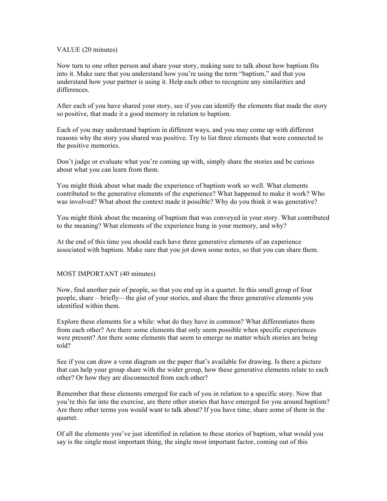## VALUE (20 minutes)

Now turn to one other person and share your story, making sure to talk about how baptism fits into it. Make sure that you understand how you're using the term "baptism," and that you understand how your partner is using it. Help each other to recognize any similarities and differences.

After each of you have shared your story, see if you can identify the elements that made the story so positive, that made it a good memory in relation to baptism.

Each of you may understand baptism in different ways, and you may come up with different reasons why the story you shared was positive. Try to list three elements that were connected to the positive memories.

Don't judge or evaluate what you're coming up with, simply share the stories and be curious about what you can learn from them.

You might think about what made the experience of baptism work so well. What elements contributed to the generative elements of the experience? What happened to make it work? Who was involved? What about the context made it possible? Why do you think it was generative?

You might think about the meaning of baptism that was conveyed in your story. What contributed to the meaning? What elements of the experience hung in your memory, and why?

At the end of this time you should each have three generative elements of an experience associated with baptism. Make sure that you jot down some notes, so that you can share them.

#### MOST IMPORTANT (40 minutes)

Now, find another pair of people, so that you end up in a quartet. In this small group of four people, share – briefly—the gist of your stories, and share the three generative elements you identified within them.

Explore these elements for a while: what do they have in common? What differentiates them from each other? Are there some elements that only seem possible when specific experiences were present? Are there some elements that seem to emerge no matter which stories are being told?

See if you can draw a venn diagram on the paper that's available for drawing. Is there a picture that can help your group share with the wider group, how these generative elements relate to each other? Or how they are disconnected from each other?

Remember that these elements emerged for each of you in relation to a specific story. Now that you're this far into the exercise, are there other stories that have emerged for you around baptism? Are there other terms you would want to talk about? If you have time, share some of them in the quartet.

Of all the elements you've just identified in relation to these stories of baptism, what would you say is the single most important thing, the single most important factor, coming out of this